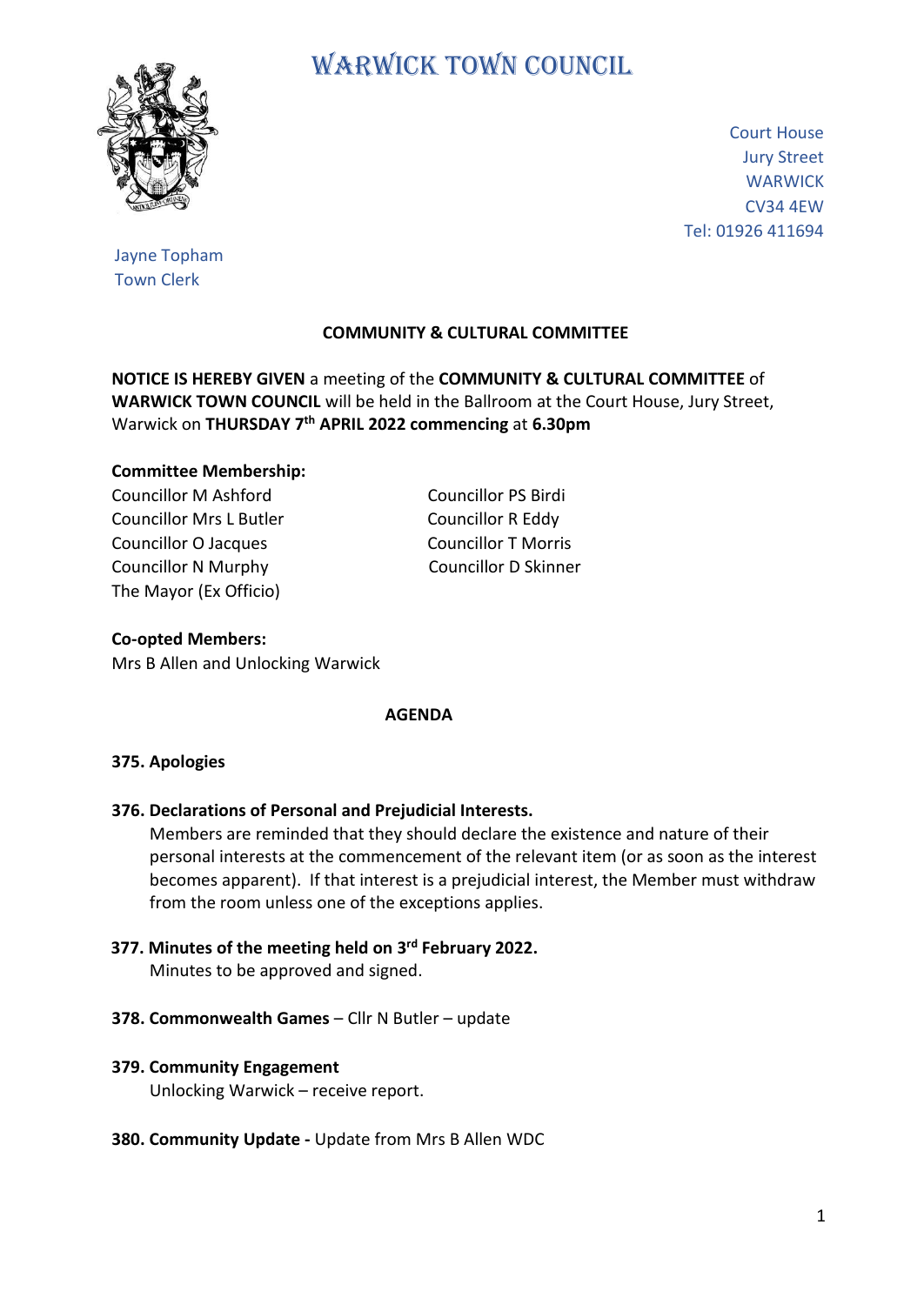

# WARWICK TOWN COUNCIL

Court House Jury Street **WARWICK** CV34 4EW Tel: 01926 411694

Jayne Topham Town Clerk

# **COMMUNITY & CULTURAL COMMITTEE**

**NOTICE IS HEREBY GIVEN** a meeting of the **COMMUNITY & CULTURAL COMMITTEE** of **WARWICK TOWN COUNCIL** will be held in the Ballroom at the Court House, Jury Street, Warwick on **THURSDAY 7 th APRIL 2022 commencing** at **6.30pm**

### **Committee Membership:**

Councillor M Ashford Councillor PS Birdi Councillor Mrs L Butler Councillor R Eddy Councillor O Jacques Councillor T Morris Councillor N Murphy Councillor D Skinner The Mayor (Ex Officio)

**Co-opted Members:** Mrs B Allen and Unlocking Warwick

#### **AGENDA**

#### **375. Apologies**

**376. Declarations of Personal and Prejudicial Interests.**

 Members are reminded that they should declare the existence and nature of their personal interests at the commencement of the relevant item (or as soon as the interest becomes apparent). If that interest is a prejudicial interest, the Member must withdraw from the room unless one of the exceptions applies.

- **377. Minutes of the meeting held on 3 rd February 2022.** Minutes to be approved and signed.
- **378. Commonwealth Games**  Cllr N Butler update

## **379. Community Engagement**

Unlocking Warwick – receive report.

**380. Community Update -** Update from Mrs B Allen WDC